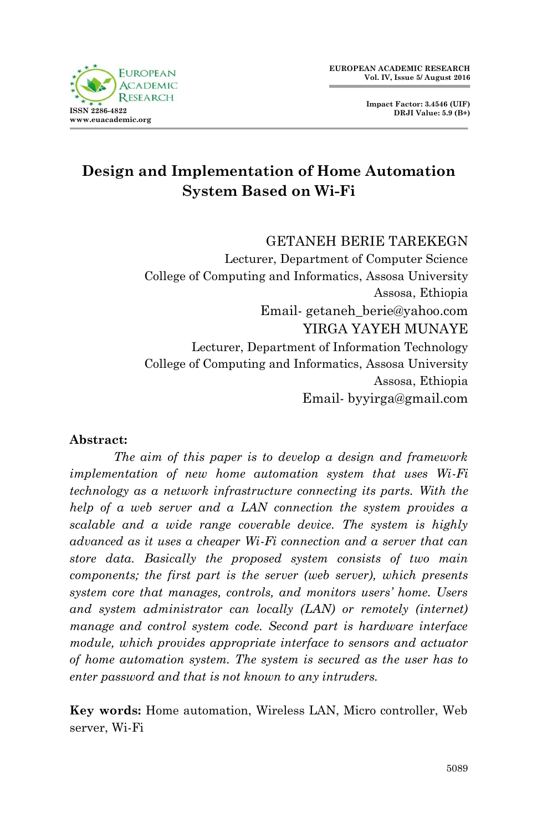



# **Design and Implementation of Home Automation System Based on Wi-Fi**

GETANEH BERIE TAREKEGN

Lecturer, Department of Computer Science College of Computing and Informatics, Assosa University Assosa, Ethiopia Email- getaneh\_berie@yahoo.com YIRGA YAYEH MUNAYE Lecturer, Department of Information Technology College of Computing and Informatics, Assosa University Assosa, Ethiopia Email- byyirga@gmail.com

#### **Abstract:**

*The aim of this paper is to develop a design and framework implementation of new home automation system that uses Wi-Fi technology as a network infrastructure connecting its parts. With the help of a web server and a LAN connection the system provides a scalable and a wide range coverable device. The system is highly advanced as it uses a cheaper Wi-Fi connection and a server that can store data. Basically the proposed system consists of two main components; the first part is the server (web server), which presents system core that manages, controls, and monitors users' home. Users and system administrator can locally (LAN) or remotely (internet) manage and control system code. Second part is hardware interface module, which provides appropriate interface to sensors and actuator of home automation system. The system is secured as the user has to enter password and that is not known to any intruders.*

**Key words:** Home automation, Wireless LAN, Micro controller, Web server, Wi-Fi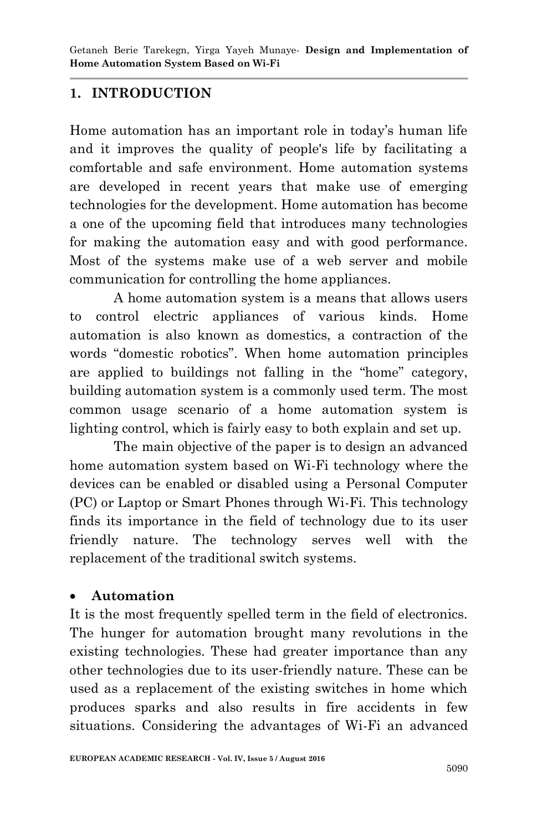### **1. INTRODUCTION**

Home automation has an important role in today's human life and it improves the quality of people's life by facilitating a comfortable and safe environment. Home automation systems are developed in recent years that make use of emerging technologies for the development. Home automation has become a one of the upcoming field that introduces many technologies for making the automation easy and with good performance. Most of the systems make use of a web server and mobile communication for controlling the home appliances.

A home automation system is a means that allows users to control electric appliances of various kinds. Home automation is also known as domestics, a contraction of the words "domestic robotics". When home automation principles are applied to buildings not falling in the "home" category, building automation system is a commonly used term. The most common usage scenario of a home automation system is lighting control, which is fairly easy to both explain and set up.

The main objective of the paper is to design an advanced home automation system based on Wi-Fi technology where the devices can be enabled or disabled using a Personal Computer (PC) or Laptop or Smart Phones through Wi-Fi. This technology finds its importance in the field of technology due to its user friendly nature. The technology serves well with the replacement of the traditional switch systems.

#### **Automation**

It is the most frequently spelled term in the field of electronics. The hunger for automation brought many revolutions in the existing technologies. These had greater importance than any other technologies due to its user-friendly nature. These can be used as a replacement of the existing switches in home which produces sparks and also results in fire accidents in few situations. Considering the advantages of Wi-Fi an advanced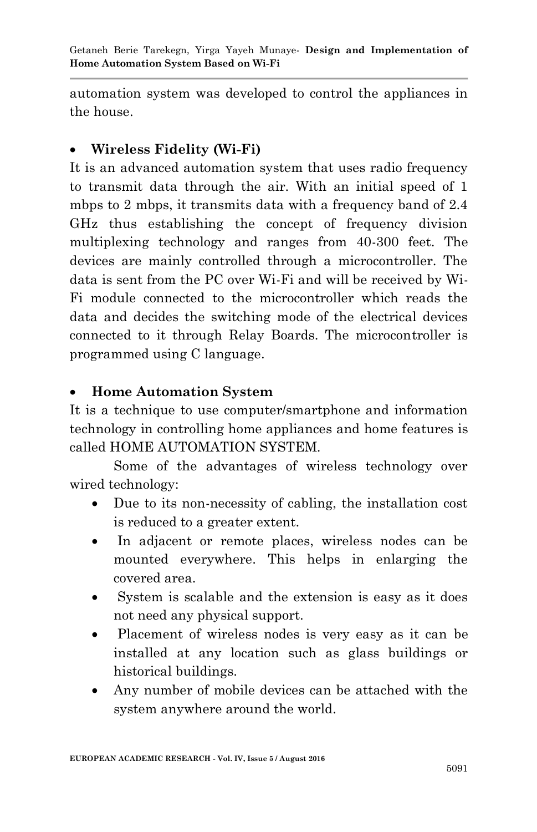automation system was developed to control the appliances in the house.

## **Wireless Fidelity (Wi-Fi)**

It is an advanced automation system that uses radio frequency to transmit data through the air. With an initial speed of 1 mbps to 2 mbps, it transmits data with a frequency band of 2.4 GHz thus establishing the concept of frequency division multiplexing technology and ranges from 40-300 feet. The devices are mainly controlled through a microcontroller. The data is sent from the PC over Wi-Fi and will be received by Wi-Fi module connected to the microcontroller which reads the data and decides the switching mode of the electrical devices connected to it through Relay Boards. The microcontroller is programmed using C language.

## **Home Automation System**

It is a technique to use computer/smartphone and information technology in controlling home appliances and home features is called HOME AUTOMATION SYSTEM.

Some of the advantages of wireless technology over wired technology:

- Due to its non-necessity of cabling, the installation cost is reduced to a greater extent.
- In adjacent or remote places, wireless nodes can be mounted everywhere. This helps in enlarging the covered area.
- System is scalable and the extension is easy as it does not need any physical support.
- Placement of wireless nodes is very easy as it can be installed at any location such as glass buildings or historical buildings.
- Any number of mobile devices can be attached with the system anywhere around the world.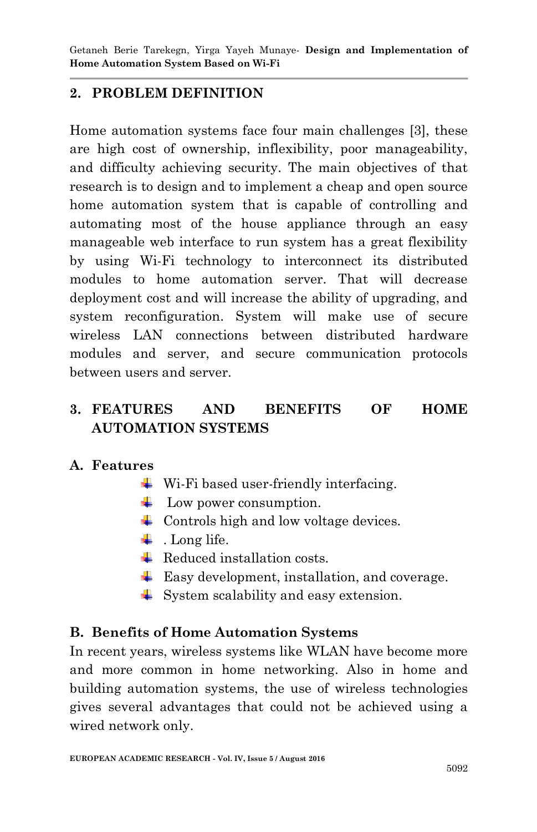### **2. PROBLEM DEFINITION**

Home automation systems face four main challenges [3], these are high cost of ownership, inflexibility, poor manageability, and difficulty achieving security. The main objectives of that research is to design and to implement a cheap and open source home automation system that is capable of controlling and automating most of the house appliance through an easy manageable web interface to run system has a great flexibility by using Wi-Fi technology to interconnect its distributed modules to home automation server. That will decrease deployment cost and will increase the ability of upgrading, and system reconfiguration. System will make use of secure wireless LAN connections between distributed hardware modules and server, and secure communication protocols between users and server.

## **3. FEATURES AND BENEFITS OF HOME AUTOMATION SYSTEMS**

### **A. Features**

- $\overline{\text{ }}$  Wi-Fi based user-friendly interfacing.
- $\downarrow$  Low power consumption.
- $\downarrow$  Controls high and low voltage devices.
- $\ddagger$ . Long life.
- $\overline{\phantom{a}}$  Reduced installation costs.
- Easy development, installation, and coverage.
- $\overline{\phantom{a}}$  System scalability and easy extension.

#### **B. Benefits of Home Automation Systems**

In recent years, wireless systems like WLAN have become more and more common in home networking. Also in home and building automation systems, the use of wireless technologies gives several advantages that could not be achieved using a wired network only.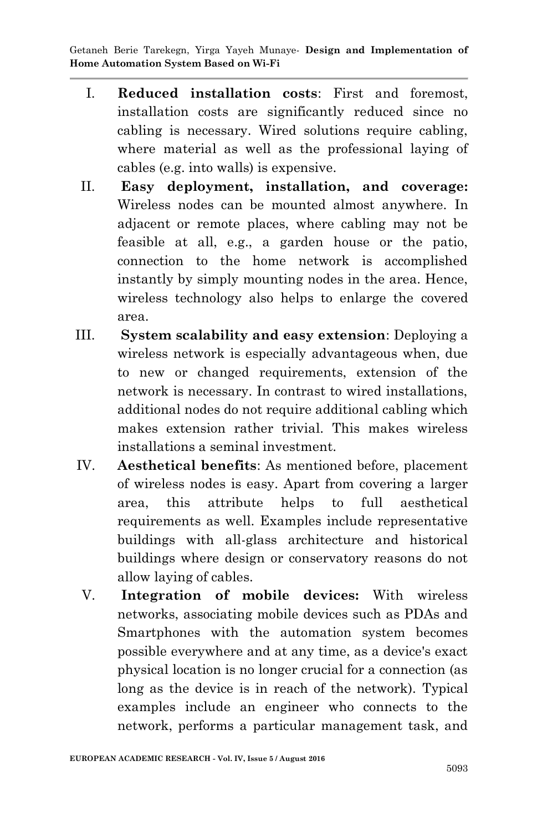- I. **Reduced installation costs**: First and foremost, installation costs are significantly reduced since no cabling is necessary. Wired solutions require cabling, where material as well as the professional laying of cables (e.g. into walls) is expensive.
- II. **Easy deployment, installation, and coverage:** Wireless nodes can be mounted almost anywhere. In adjacent or remote places, where cabling may not be feasible at all, e.g., a garden house or the patio, connection to the home network is accomplished instantly by simply mounting nodes in the area. Hence, wireless technology also helps to enlarge the covered area.
- III. **System scalability and easy extension**: Deploying a wireless network is especially advantageous when, due to new or changed requirements, extension of the network is necessary. In contrast to wired installations, additional nodes do not require additional cabling which makes extension rather trivial. This makes wireless installations a seminal investment.
- IV. **Aesthetical benefits**: As mentioned before, placement of wireless nodes is easy. Apart from covering a larger area, this attribute helps to full aesthetical requirements as well. Examples include representative buildings with all-glass architecture and historical buildings where design or conservatory reasons do not allow laying of cables.
- V. **Integration of mobile devices:** With wireless networks, associating mobile devices such as PDAs and Smartphones with the automation system becomes possible everywhere and at any time, as a device's exact physical location is no longer crucial for a connection (as long as the device is in reach of the network). Typical examples include an engineer who connects to the network, performs a particular management task, and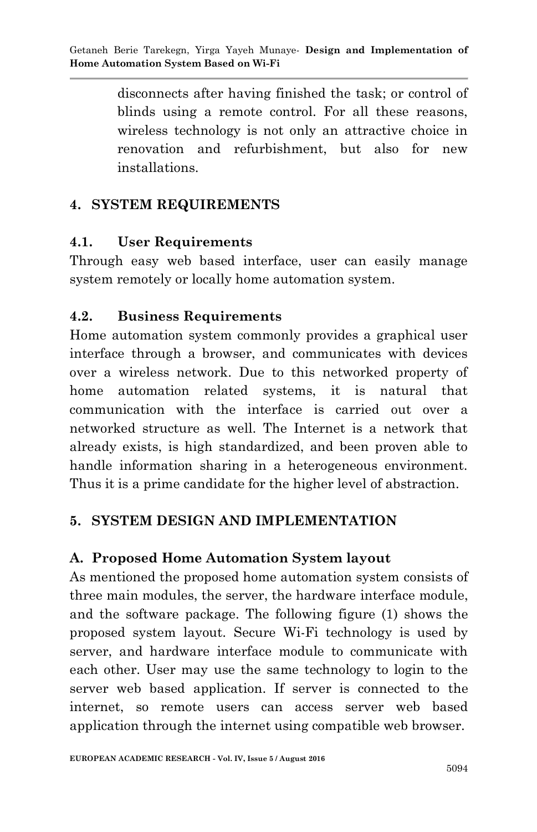disconnects after having finished the task; or control of blinds using a remote control. For all these reasons, wireless technology is not only an attractive choice in renovation and refurbishment, but also for new installations.

## **4. SYSTEM REQUIREMENTS**

### **4.1. User Requirements**

Through easy web based interface, user can easily manage system remotely or locally home automation system.

### **4.2. Business Requirements**

Home automation system commonly provides a graphical user interface through a browser, and communicates with devices over a wireless network. Due to this networked property of home automation related systems, it is natural that communication with the interface is carried out over a networked structure as well. The Internet is a network that already exists, is high standardized, and been proven able to handle information sharing in a heterogeneous environment. Thus it is a prime candidate for the higher level of abstraction.

## **5. SYSTEM DESIGN AND IMPLEMENTATION**

### **A. Proposed Home Automation System layout**

As mentioned the proposed home automation system consists of three main modules, the server, the hardware interface module, and the software package. The following figure (1) shows the proposed system layout. Secure Wi-Fi technology is used by server, and hardware interface module to communicate with each other. User may use the same technology to login to the server web based application. If server is connected to the internet, so remote users can access server web based application through the internet using compatible web browser.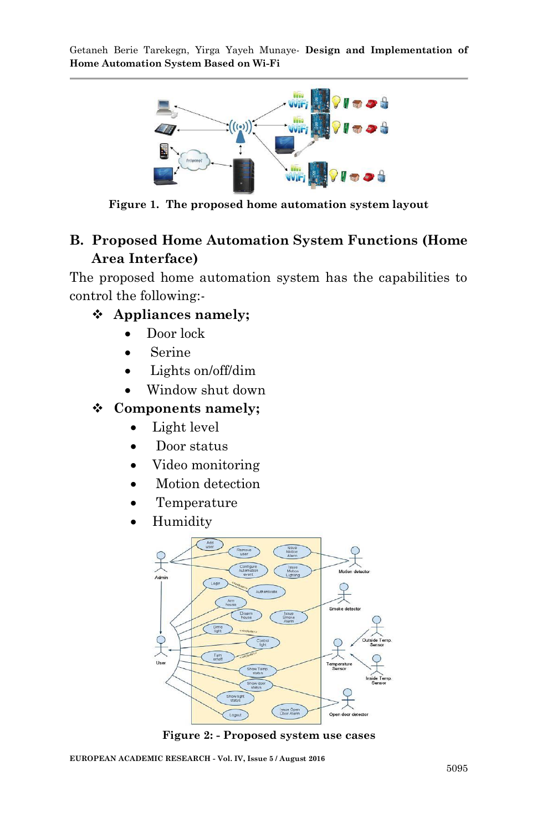

**Figure 1. The proposed home automation system layout**

## **B. Proposed Home Automation System Functions (Home Area Interface)**

The proposed home automation system has the capabilities to control the following:-

### **Appliances namely;**

- Door lock
- Serine
- Lights on/off/dim
- Window shut down

### **Components namely;**

- Light level
- Door status
- Video monitoring
- Motion detection
- Temperature
- Humidity



**Figure 2: - Proposed system use cases**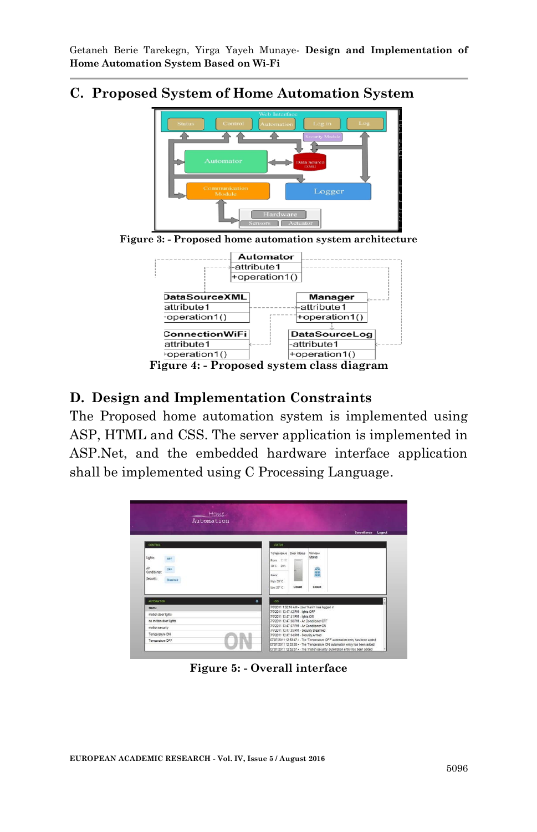### **C. Proposed System of Home Automation System**



### **D. Design and Implementation Constraints**

The Proposed home automation system is implemented using ASP, HTML and CSS. The server application is implemented in ASP.Net, and the embedded hardware interface application shall be implemented using C Processing Language.



**Figure 5: - Overall interface**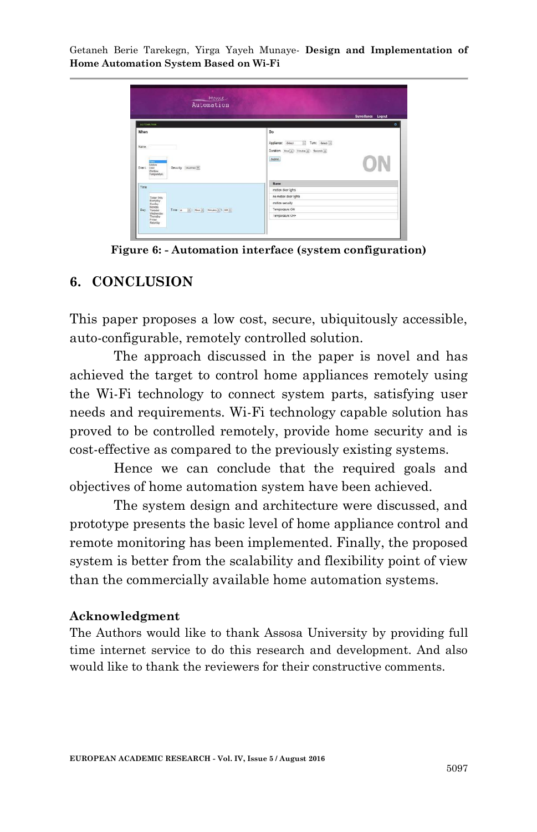

**Figure 6: - Automation interface (system configuration)**

#### **6. CONCLUSION**

This paper proposes a low cost, secure, ubiquitously accessible, auto-configurable, remotely controlled solution.

The approach discussed in the paper is novel and has achieved the target to control home appliances remotely using the Wi-Fi technology to connect system parts, satisfying user needs and requirements. Wi-Fi technology capable solution has proved to be controlled remotely, provide home security and is cost-effective as compared to the previously existing systems.

Hence we can conclude that the required goals and objectives of home automation system have been achieved.

The system design and architecture were discussed, and prototype presents the basic level of home appliance control and remote monitoring has been implemented. Finally, the proposed system is better from the scalability and flexibility point of view than the commercially available home automation systems.

#### **Acknowledgment**

The Authors would like to thank Assosa University by providing full time internet service to do this research and development. And also would like to thank the reviewers for their constructive comments.